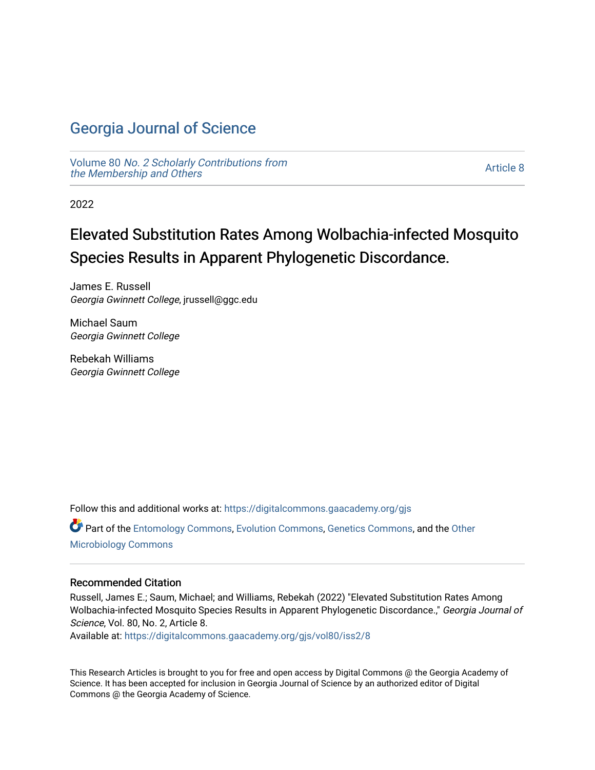# [Georgia Journal of Science](https://digitalcommons.gaacademy.org/gjs)

Volume 80 [No. 2 Scholarly Contributions from](https://digitalcommons.gaacademy.org/gjs/vol80) [the Membership and Others](https://digitalcommons.gaacademy.org/gjs/vol80) 

[Article 8](https://digitalcommons.gaacademy.org/gjs/vol80/iss2/8) 

2022

# Elevated Substitution Rates Among Wolbachia-infected Mosquito Species Results in Apparent Phylogenetic Discordance.

James E. Russell Georgia Gwinnett College, jrussell@ggc.edu

Michael Saum Georgia Gwinnett College

Rebekah Williams Georgia Gwinnett College

Follow this and additional works at: [https://digitalcommons.gaacademy.org/gjs](https://digitalcommons.gaacademy.org/gjs?utm_source=digitalcommons.gaacademy.org%2Fgjs%2Fvol80%2Fiss2%2F8&utm_medium=PDF&utm_campaign=PDFCoverPages) 

Part of the [Entomology Commons,](https://network.bepress.com/hgg/discipline/83?utm_source=digitalcommons.gaacademy.org%2Fgjs%2Fvol80%2Fiss2%2F8&utm_medium=PDF&utm_campaign=PDFCoverPages) [Evolution Commons,](https://network.bepress.com/hgg/discipline/18?utm_source=digitalcommons.gaacademy.org%2Fgjs%2Fvol80%2Fiss2%2F8&utm_medium=PDF&utm_campaign=PDFCoverPages) [Genetics Commons,](https://network.bepress.com/hgg/discipline/29?utm_source=digitalcommons.gaacademy.org%2Fgjs%2Fvol80%2Fiss2%2F8&utm_medium=PDF&utm_campaign=PDFCoverPages) and the [Other](https://network.bepress.com/hgg/discipline/54?utm_source=digitalcommons.gaacademy.org%2Fgjs%2Fvol80%2Fiss2%2F8&utm_medium=PDF&utm_campaign=PDFCoverPages) [Microbiology Commons](https://network.bepress.com/hgg/discipline/54?utm_source=digitalcommons.gaacademy.org%2Fgjs%2Fvol80%2Fiss2%2F8&utm_medium=PDF&utm_campaign=PDFCoverPages)

#### Recommended Citation

Russell, James E.; Saum, Michael; and Williams, Rebekah (2022) "Elevated Substitution Rates Among Wolbachia-infected Mosquito Species Results in Apparent Phylogenetic Discordance.," Georgia Journal of Science, Vol. 80, No. 2, Article 8.

Available at: [https://digitalcommons.gaacademy.org/gjs/vol80/iss2/8](https://digitalcommons.gaacademy.org/gjs/vol80/iss2/8?utm_source=digitalcommons.gaacademy.org%2Fgjs%2Fvol80%2Fiss2%2F8&utm_medium=PDF&utm_campaign=PDFCoverPages)

This Research Articles is brought to you for free and open access by Digital Commons @ the Georgia Academy of Science. It has been accepted for inclusion in Georgia Journal of Science by an authorized editor of Digital Commons @ the Georgia Academy of Science.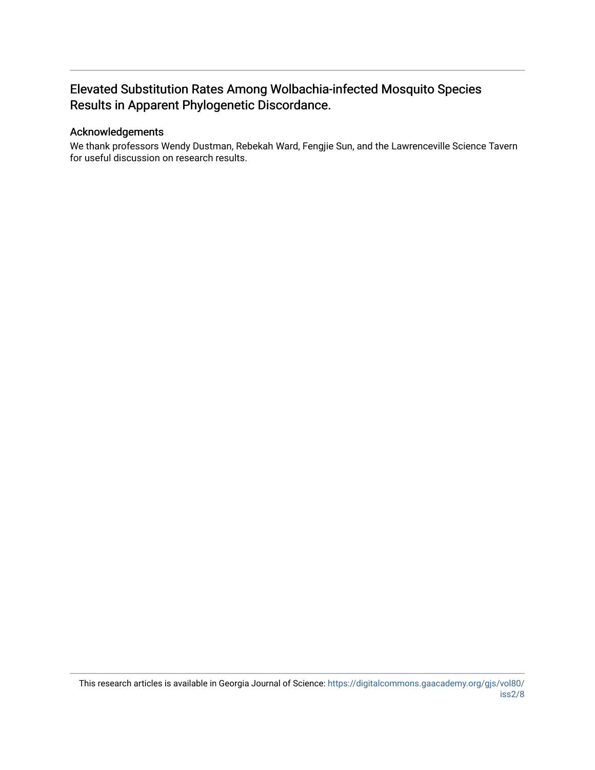# Elevated Substitution Rates Among Wolbachia-infected Mosquito Species Results in Apparent Phylogenetic Discordance.

### Acknowledgements

We thank professors Wendy Dustman, Rebekah Ward, Fengjie Sun, and the Lawrenceville Science Tavern for useful discussion on research results.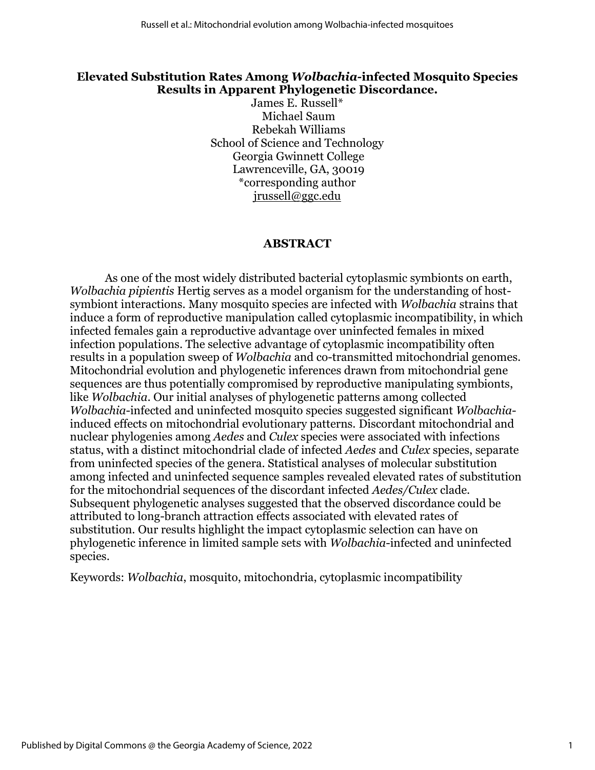### **Elevated Substitution Rates Among** *Wolbachia-***infected Mosquito Species Results in Apparent Phylogenetic Discordance.**

James E. Russell\* Michael Saum Rebekah Williams School of Science and Technology Georgia Gwinnett College Lawrenceville, GA, 30019 \*corresponding author [jrussell@ggc.edu](mailto:jrussell@ggc.edu)

#### **ABSTRACT**

As one of the most widely distributed bacterial cytoplasmic symbionts on earth, *Wolbachia pipientis* Hertig serves as a model organism for the understanding of hostsymbiont interactions. Many mosquito species are infected with *Wolbachia* strains that induce a form of reproductive manipulation called cytoplasmic incompatibility, in which infected females gain a reproductive advantage over uninfected females in mixed infection populations. The selective advantage of cytoplasmic incompatibility often results in a population sweep of *Wolbachia* and co-transmitted mitochondrial genomes. Mitochondrial evolution and phylogenetic inferences drawn from mitochondrial gene sequences are thus potentially compromised by reproductive manipulating symbionts, like *Wolbachia*. Our initial analyses of phylogenetic patterns among collected *Wolbachia*-infected and uninfected mosquito species suggested significant *Wolbachia*induced effects on mitochondrial evolutionary patterns. Discordant mitochondrial and nuclear phylogenies among *Aedes* and *Culex* species were associated with infections status, with a distinct mitochondrial clade of infected *Aedes* and *Culex* species, separate from uninfected species of the genera. Statistical analyses of molecular substitution among infected and uninfected sequence samples revealed elevated rates of substitution for the mitochondrial sequences of the discordant infected *Aedes/Culex* clade. Subsequent phylogenetic analyses suggested that the observed discordance could be attributed to long-branch attraction effects associated with elevated rates of substitution. Our results highlight the impact cytoplasmic selection can have on phylogenetic inference in limited sample sets with *Wolbachia*-infected and uninfected species.

Keywords: *Wolbachia*, mosquito, mitochondria, cytoplasmic incompatibility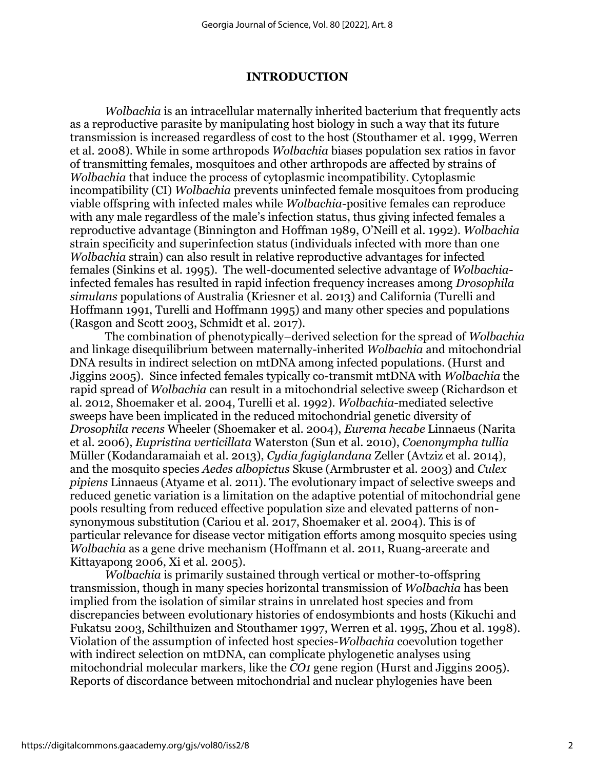### **INTRODUCTION**

*Wolbachia* is an intracellular maternally inherited bacterium that frequently acts as a reproductive parasite by manipulating host biology in such a way that its future transmission is increased regardless of cost to the host (Stouthamer et al. 1999, Werren et al. 2008). While in some arthropods *Wolbachia* biases population sex ratios in favor of transmitting females, mosquitoes and other arthropods are affected by strains of *Wolbachia* that induce the process of cytoplasmic incompatibility. Cytoplasmic incompatibility (CI) *Wolbachia* prevents uninfected female mosquitoes from producing viable offspring with infected males while *Wolbachia*-positive females can reproduce with any male regardless of the male's infection status, thus giving infected females a reproductive advantage (Binnington and Hoffman 1989, O'Neill et al. 1992). *Wolbachia* strain specificity and superinfection status (individuals infected with more than one *Wolbachia* strain) can also result in relative reproductive advantages for infected females (Sinkins et al. 1995). The well-documented selective advantage of *Wolbachia*infected females has resulted in rapid infection frequency increases among *Drosophila simulans* populations of Australia (Kriesner et al. 2013) and California (Turelli and Hoffmann 1991, Turelli and Hoffmann 1995) and many other species and populations (Rasgon and Scott 2003, Schmidt et al. 2017).

The combination of phenotypically–derived selection for the spread of *Wolbachia* and linkage disequilibrium between maternally-inherited *Wolbachia* and mitochondrial DNA results in indirect selection on mtDNA among infected populations. (Hurst and Jiggins 2005). Since infected females typically co-transmit mtDNA with *Wolbachia* the rapid spread of *Wolbachia* can result in a mitochondrial selective sweep (Richardson et al. 2012, Shoemaker et al. 2004, Turelli et al. 1992). *Wolbachia*-mediated selective sweeps have been implicated in the reduced mitochondrial genetic diversity of *Drosophila recens* Wheeler (Shoemaker et al*.* 2004), *Eurema hecabe* Linnaeus (Narita et al. 2006), *Eupristina verticillata* Waterston (Sun et al. 2010), *Coenonympha tullia* Müller (Kodandaramaiah et al. 2013), *Cydia fagiglandana* Zeller (Avtziz et al. 2014), and the mosquito species *Aedes albopictus* Skuse (Armbruster et al. 2003) and *Culex pipiens* Linnaeus (Atyame et al. 2011). The evolutionary impact of selective sweeps and reduced genetic variation is a limitation on the adaptive potential of mitochondrial gene pools resulting from reduced effective population size and elevated patterns of nonsynonymous substitution (Cariou et al. 2017, Shoemaker et al. 2004). This is of particular relevance for disease vector mitigation efforts among mosquito species using *Wolbachia* as a gene drive mechanism (Hoffmann et al. 2011, Ruang-areerate and Kittayapong 2006, Xi et al. 2005).

*Wolbachia* is primarily sustained through vertical or mother-to-offspring transmission, though in many species horizontal transmission of *Wolbachia* has been implied from the isolation of similar strains in unrelated host species and from discrepancies between evolutionary histories of endosymbionts and hosts (Kikuchi and Fukatsu 2003, Schilthuizen and Stouthamer 1997, Werren et al. 1995, Zhou et al. 1998). Violation of the assumption of infected host species-*Wolbachia* coevolution together with indirect selection on mtDNA, can complicate phylogenetic analyses using mitochondrial molecular markers, like the *CO1* gene region (Hurst and Jiggins 2005). Reports of discordance between mitochondrial and nuclear phylogenies have been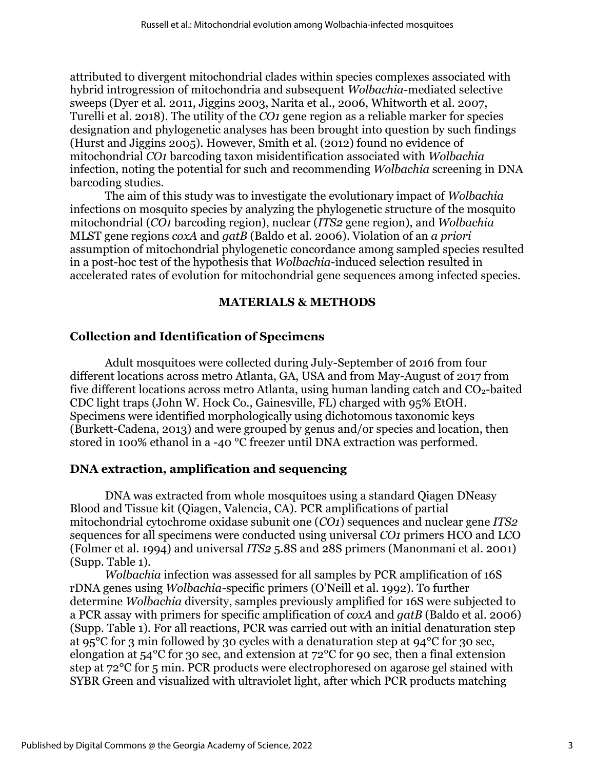attributed to divergent mitochondrial clades within species complexes associated with hybrid introgression of mitochondria and subsequent *Wolbachia-*mediated selective sweeps (Dyer et al. 2011, Jiggins 2003, Narita et al*.*, 2006, Whitworth et al. 2007, Turelli et al. 2018). The utility of the *CO1* gene region as a reliable marker for species designation and phylogenetic analyses has been brought into question by such findings (Hurst and Jiggins 2005). However, Smith et al. (2012) found no evidence of mitochondrial *CO1* barcoding taxon misidentification associated with *Wolbachia* infection, noting the potential for such and recommending *Wolbachia* screening in DNA barcoding studies.

The aim of this study was to investigate the evolutionary impact of *Wolbachia* infections on mosquito species by analyzing the phylogenetic structure of the mosquito mitochondrial (*CO1* barcoding region), nuclear (*ITS2* gene region), and *Wolbachia* MLST gene regions *coxA* and *gatB* (Baldo et al. 2006). Violation of an *a priori* assumption of mitochondrial phylogenetic concordance among sampled species resulted in a post-hoc test of the hypothesis that *Wolbachia*-induced selection resulted in accelerated rates of evolution for mitochondrial gene sequences among infected species.

### **MATERIALS & METHODS**

### **Collection and Identification of Specimens**

Adult mosquitoes were collected during July-September of 2016 from four different locations across metro Atlanta, GA, USA and from May-August of 2017 from five different locations across metro Atlanta, using human landing catch and  $CO<sub>2</sub>$ -baited CDC light traps (John W. Hock Co., Gainesville, FL) charged with 95% EtOH. Specimens were identified morphologically using dichotomous taxonomic keys (Burkett-Cadena, 2013) and were grouped by genus and/or species and location, then stored in 100% ethanol in a -40 °C freezer until DNA extraction was performed.

### **DNA extraction, amplification and sequencing**

DNA was extracted from whole mosquitoes using a standard Qiagen DNeasy Blood and Tissue kit (Qiagen, Valencia, CA). PCR amplifications of partial mitochondrial cytochrome oxidase subunit one (*CO1*) sequences and nuclear gene *ITS2* sequences for all specimens were conducted using universal *CO1* primers HCO and LCO (Folmer et al. 1994) and universal *ITS2* 5.8S and 28S primers (Manonmani et al. 2001) (Supp. Table 1).

*Wolbachia* infection was assessed for all samples by PCR amplification of 16S rDNA genes using *Wolbachia-*specific primers (O'Neill et al. 1992). To further determine *Wolbachia* diversity, samples previously amplified for 16S were subjected to a PCR assay with primers for specific amplification of *coxA* and *gatB* (Baldo et al. 2006) (Supp. Table 1). For all reactions, PCR was carried out with an initial denaturation step at 95°C for 3 min followed by 30 cycles with a denaturation step at 94°C for 30 sec, elongation at 54°C for 30 sec, and extension at 72°C for 90 sec, then a final extension step at 72°C for 5 min. PCR products were electrophoresed on agarose gel stained with SYBR Green and visualized with ultraviolet light, after which PCR products matching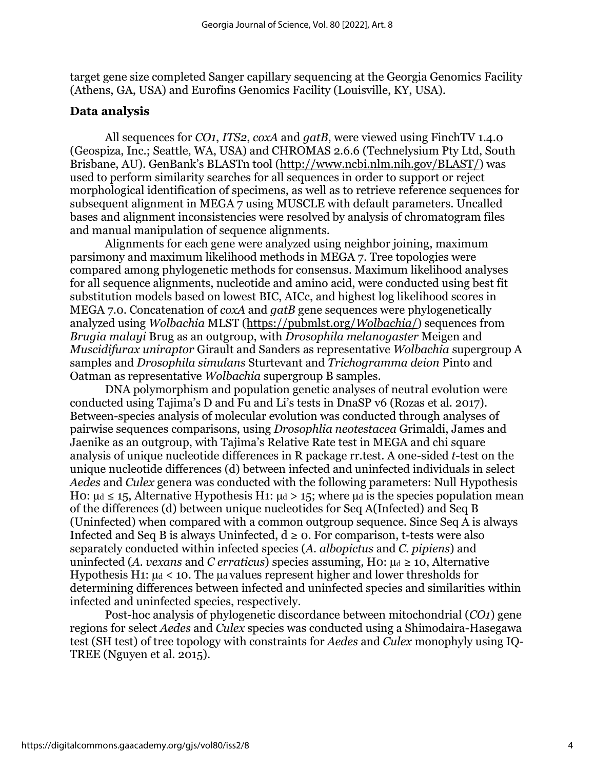target gene size completed Sanger capillary sequencing at the Georgia Genomics Facility (Athens, GA, USA) and Eurofins Genomics Facility (Louisville, KY, USA).

### **Data analysis**

All sequences for *CO1*, *ITS2*, *coxA* and *gatB*, were viewed using FinchTV 1.4.0 (Geospiza, Inc.; Seattle, WA, USA) and CHROMAS 2.6.6 (Technelysium Pty Ltd, South Brisbane, AU). GenBank's BLASTn tool ([http://www.ncbi.nlm.nih.gov/BLAST/\)](http://www.ncbi.nlm.nih.gov/BLAST/) was used to perform similarity searches for all sequences in order to support or reject morphological identification of specimens, as well as to retrieve reference sequences for subsequent alignment in MEGA 7 using MUSCLE with default parameters. Uncalled bases and alignment inconsistencies were resolved by analysis of chromatogram files and manual manipulation of sequence alignments.

Alignments for each gene were analyzed using neighbor joining, maximum parsimony and maximum likelihood methods in MEGA 7. Tree topologies were compared among phylogenetic methods for consensus. Maximum likelihood analyses for all sequence alignments, nucleotide and amino acid, were conducted using best fit substitution models based on lowest BIC, AICc, and highest log likelihood scores in MEGA 7.0. Concatenation of *coxA* and *gatB* gene sequences were phylogenetically analyzed using *Wolbachia* MLST [\(https://pubmlst.org/](https://pubmlst.org/wolbachia/)*Wolbachia*/) sequences from *Brugia malayi* Brug as an outgroup, with *Drosophila melanogaster* Meigen and *Muscidifurax uniraptor* Girault and Sanders as representative *Wolbachia* supergroup A samples and *Drosophila simulans* Sturtevant and *Trichogramma deion* Pinto and Oatman as representative *Wolbachia* supergroup B samples.

DNA polymorphism and population genetic analyses of neutral evolution were conducted using Tajima's D and Fu and Li's tests in DnaSP v6 (Rozas et al. 2017). Between-species analysis of molecular evolution was conducted through analyses of pairwise sequences comparisons, using *Drosophlia neotestacea* Grimaldi, James and Jaenike as an outgroup, with Tajima's Relative Rate test in MEGA and chi square analysis of unique nucleotide differences in R package rr.test. A one-sided *t*-test on the unique nucleotide differences (d) between infected and uninfected individuals in select *Aedes* and *Culex* genera was conducted with the following parameters: Null Hypothesis H0:  $\mu$ d  $\leq$  15, Alternative Hypothesis H1:  $\mu$ d > 15; where  $\mu$ d is the species population mean of the differences (d) between unique nucleotides for Seq A(Infected) and Seq B (Uninfected) when compared with a common outgroup sequence. Since Seq A is always Infected and Seq B is always Uninfected,  $d \ge 0$ . For comparison, t-tests were also separately conducted within infected species (*A. albopictus* and *C. pipiens*) and uninfected (*A. vexans* and *C erraticus*) species assuming, H0:  $\mu$ d  $\geq$  10, Alternative Hypothesis H1:  $\mu$ <sup>d</sup> < 10. The  $\mu$ <sup>d</sup> values represent higher and lower thresholds for determining differences between infected and uninfected species and similarities within infected and uninfected species, respectively.

Post-hoc analysis of phylogenetic discordance between mitochondrial (*CO1*) gene regions for select *Aedes* and *Culex* species was conducted using a Shimodaira-Hasegawa test (SH test) of tree topology with constraints for *Aedes* and *Culex* monophyly using IQ-TREE (Nguyen et al. 2015).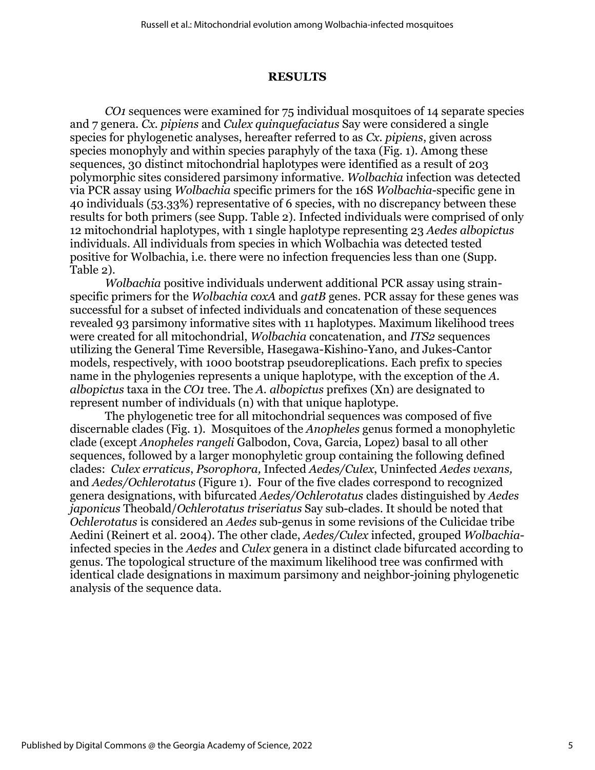### **RESULTS**

*CO1* sequences were examined for 75 individual mosquitoes of 14 separate species and 7 genera. *Cx. pipiens* and *Culex quinquefaciatus* Say were considered a single species for phylogenetic analyses, hereafter referred to as *Cx. pipiens*, given across species monophyly and within species paraphyly of the taxa (Fig. 1). Among these sequences, 30 distinct mitochondrial haplotypes were identified as a result of 203 polymorphic sites considered parsimony informative. *Wolbachia* infection was detected via PCR assay using *Wolbachia* specific primers for the 16S *Wolbachia*-specific gene in 40 individuals (53.33%) representative of 6 species, with no discrepancy between these results for both primers (see Supp. Table 2). Infected individuals were comprised of only 12 mitochondrial haplotypes, with 1 single haplotype representing 23 *Aedes albopictus*  individuals. All individuals from species in which Wolbachia was detected tested positive for Wolbachia, i.e. there were no infection frequencies less than one (Supp. Table 2).

*Wolbachia* positive individuals underwent additional PCR assay using strainspecific primers for the *Wolbachia coxA* and *gatB* genes. PCR assay for these genes was successful for a subset of infected individuals and concatenation of these sequences revealed 93 parsimony informative sites with 11 haplotypes. Maximum likelihood trees were created for all mitochondrial, *Wolbachia* concatenation, and *ITS2* sequences utilizing the General Time Reversible, Hasegawa-Kishino-Yano, and Jukes-Cantor models, respectively, with 1000 bootstrap pseudoreplications. Each prefix to species name in the phylogenies represents a unique haplotype, with the exception of the *A. albopictus* taxa in the *CO1* tree. The *A. albopictus* prefixes (Xn) are designated to represent number of individuals (n) with that unique haplotype.

The phylogenetic tree for all mitochondrial sequences was composed of five discernable clades (Fig. 1). Mosquitoes of the *Anopheles* genus formed a monophyletic clade (except *Anopheles rangeli* Galbodon, Cova, Garcia, Lopez) basal to all other sequences, followed by a larger monophyletic group containing the following defined clades: *Culex erraticus*, *Psorophora,* Infected *Aedes/Culex*, Uninfected *Aedes vexans,*  and *Aedes/Ochlerotatus* (Figure 1). Four of the five clades correspond to recognized genera designations, with bifurcated *Aedes/Ochlerotatus* clades distinguished by *Aedes japonicus* Theobald/*Ochlerotatus triseriatus* Say sub-clades. It should be noted that *Ochlerotatus* is considered an *Aedes* sub-genus in some revisions of the Culicidae tribe Aedini (Reinert et al. 2004). The other clade, *Aedes/Culex* infected, grouped *Wolbachia*infected species in the *Aedes* and *Culex* genera in a distinct clade bifurcated according to genus. The topological structure of the maximum likelihood tree was confirmed with identical clade designations in maximum parsimony and neighbor-joining phylogenetic analysis of the sequence data.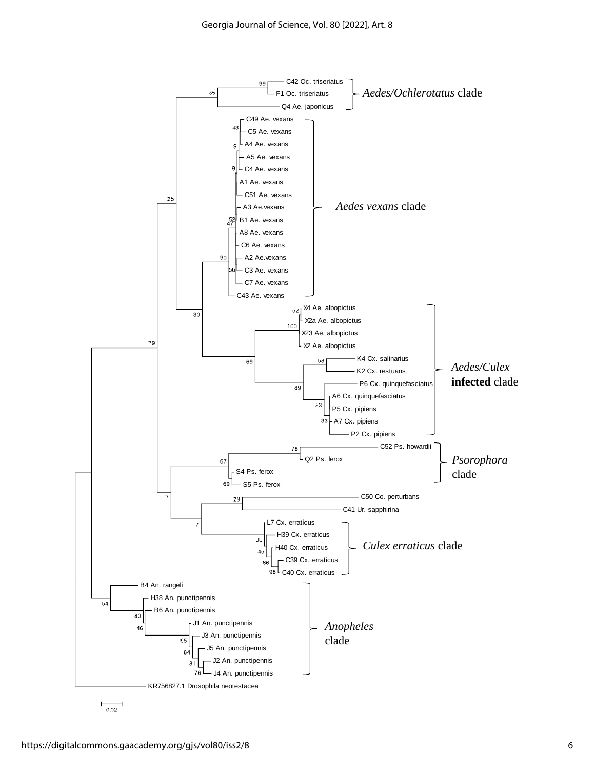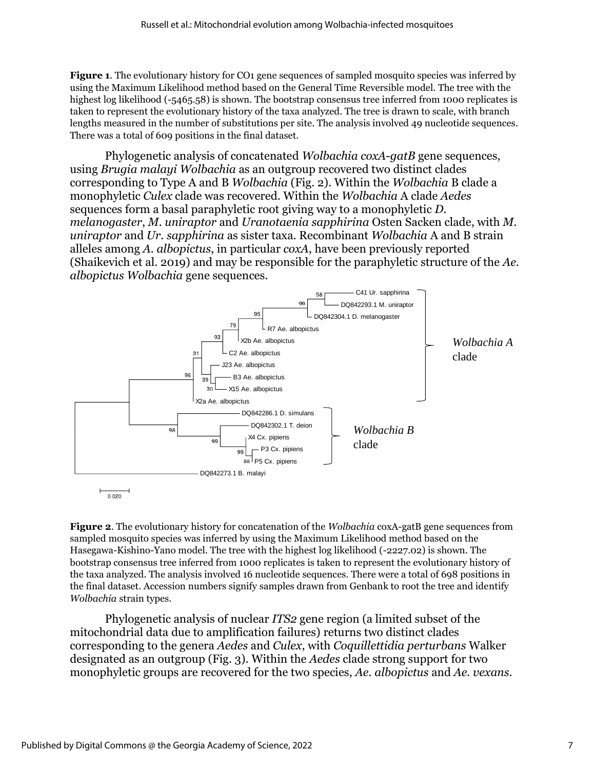**Figure 1.** The evolutionary history for CO1 gene sequences of sampled mosquito species was inferred by using the Maximum Likelihood method based on the General Time Reversible model. The tree with the highest log likelihood (-5465.58) is shown. The bootstrap consensus tree inferred from 1000 replicates is taken to represent the evolutionary history of the taxa analyzed. The tree is drawn to scale, with branch lengths measured in the number of substitutions per site. The analysis involved 49 nucleotide sequences. There was a total of 609 positions in the final dataset.

Phylogenetic analysis of concatenated *Wolbachia coxA*-*gatB* gene sequences, using *Brugia malayi Wolbachia* as an outgroup recovered two distinct clades corresponding to Type A and B *Wolbachia* (Fig. 2). Within the *Wolbachia* B clade a monophyletic *Culex* clade was recovered. Within the *Wolbachia* A clade *Aedes* sequences form a basal paraphyletic root giving way to a monophyletic *D. melanogaster*, *M. uniraptor* and *Uranotaenia sapphirina* Osten Sacken clade, with *M. uniraptor* and *Ur. sapphirina* as sister taxa. Recombinant *Wolbachia* A and B strain alleles among *A. albopictus*, in particular *coxA*, have been previously reported (Shaikevich et al. 2019) and may be responsible for the paraphyletic structure of the *Ae. albopictus Wolbachia* gene sequences.



**Figure 2.** The evolutionary history for concatenation of the *Wolbachia* coxA-gatB gene sequences from sampled mosquito species was inferred by using the Maximum Likelihood method based on the Hasegawa-Kishino-Yano model. The tree with the highest log likelihood (-2227.02) is shown. The bootstrap consensus tree inferred from 1000 replicates is taken to represent the evolutionary history of the taxa analyzed. The analysis involved 16 nucleotide sequences. There were a total of 698 positions in the final dataset. Accession numbers signify samples drawn from Genbank to root the tree and identify *Wolbachia* strain types.

Phylogenetic analysis of nuclear *ITS2* gene region (a limited subset of the mitochondrial data due to amplification failures) returns two distinct clades corresponding to the genera *Aedes* and *Culex*, with *Coquillettidia perturbans* Walker designated as an outgroup (Fig. 3). Within the *Aedes* clade strong support for two monophyletic groups are recovered for the two species, *Ae. albopictus* and *Ae. vexans*.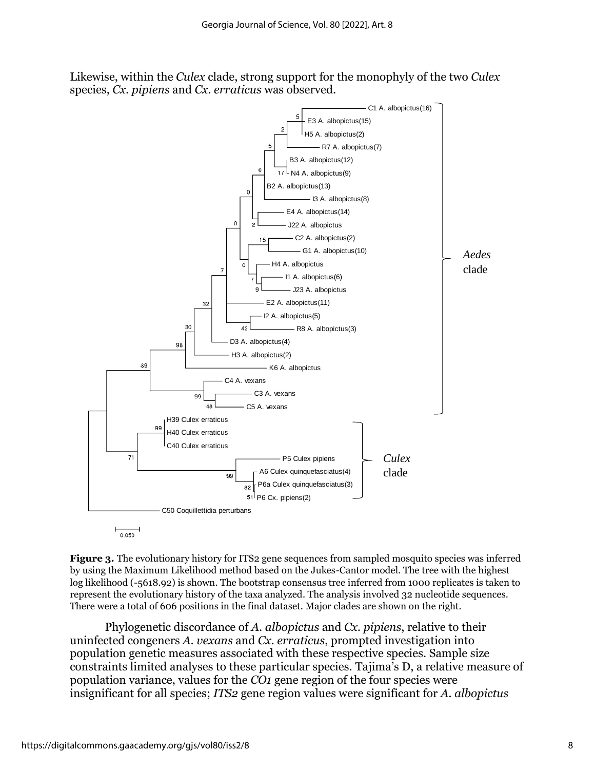Likewise, within the *Culex* clade, strong support for the monophyly of the two *Culex* species, *Cx. pipiens* and *Cx. erraticus* was observed.



**Figure 3.** The evolutionary history for ITS2 gene sequences from sampled mosquito species was inferred by using the Maximum Likelihood method based on the Jukes-Cantor model. The tree with the highest log likelihood (-5618.92) is shown. The bootstrap consensus tree inferred from 1000 replicates is taken to represent the evolutionary history of the taxa analyzed. The analysis involved 32 nucleotide sequences. There were a total of 606 positions in the final dataset. Major clades are shown on the right.

Phylogenetic discordance of *A. albopictus* and *Cx. pipiens*, relative to their uninfected congeners *A. vexans* and *Cx. erraticus*, prompted investigation into population genetic measures associated with these respective species. Sample size constraints limited analyses to these particular species. Tajima's D, a relative measure of population variance, values for the *CO1* gene region of the four species were insignificant for all species; *ITS2* gene region values were significant for *A. albopictus*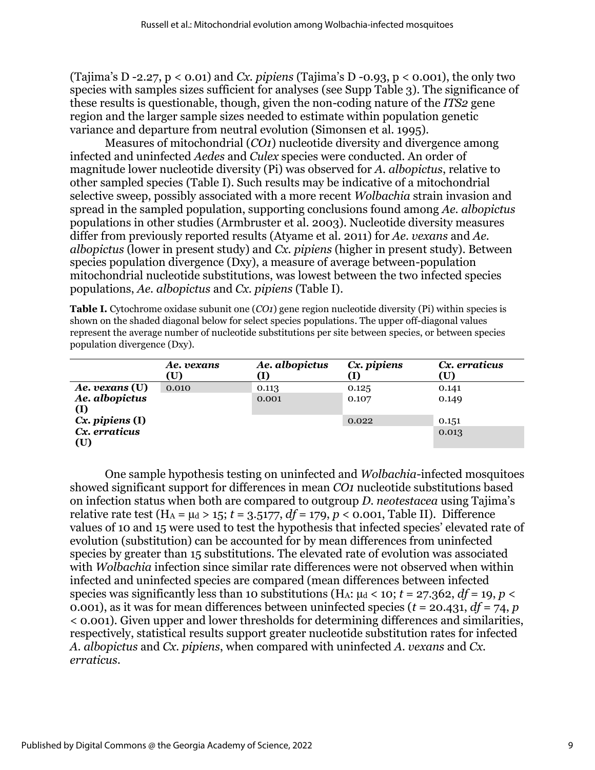(Tajima's D -2.27, p < 0.01) and *Cx. pipiens* (Tajima's D -0.93, p < 0.001), the only two species with samples sizes sufficient for analyses (see Supp Table 3). The significance of these results is questionable, though, given the non-coding nature of the *ITS2* gene region and the larger sample sizes needed to estimate within population genetic variance and departure from neutral evolution (Simonsen et al. 1995).

Measures of mitochondrial (*CO1*) nucleotide diversity and divergence among infected and uninfected *Aedes* and *Culex* species were conducted. An order of magnitude lower nucleotide diversity (Pi) was observed for *A. albopictus*, relative to other sampled species (Table I). Such results may be indicative of a mitochondrial selective sweep, possibly associated with a more recent *Wolbachia* strain invasion and spread in the sampled population, supporting conclusions found among *Ae. albopictus* populations in other studies (Armbruster et al. 2003). Nucleotide diversity measures differ from previously reported results (Atyame et al. 2011) for *Ae. vexans* and *Ae. albopictus* (lower in present study) and *Cx. pipiens* (higher in present study). Between species population divergence (Dxy), a measure of average between-population mitochondrial nucleotide substitutions, was lowest between the two infected species populations, *Ae. albopictus* and *Cx. pipiens* (Table I).

**Table I.** Cytochrome oxidase subunit one (*CO1*) gene region nucleotide diversity (Pi) within species is shown on the shaded diagonal below for select species populations. The upper off-diagonal values represent the average number of nucleotide substitutions per site between species, or between species population divergence (Dxy).

|                       | Ae. vexans<br>$\left(\mathrm{U}\right)$ | Ae. albopictus | Cx. pipiens | Cx. erraticus<br>(U) |
|-----------------------|-----------------------------------------|----------------|-------------|----------------------|
| Ae. vexans (U)        | 0.010                                   | 0.113          | 0.125       | 0.141                |
| Ae. albopictus<br>(I) |                                         | 0.001          | 0.107       | 0.149                |
| $Cx.$ pipiens $(I)$   |                                         |                | 0.022       | 0.151                |
| Cx. erraticus<br>(U)  |                                         |                |             | 0.013                |

One sample hypothesis testing on uninfected and *Wolbachia*-infected mosquitoes showed significant support for differences in mean *CO1* nucleotide substitutions based on infection status when both are compared to outgroup *D. neotestacea* using Tajima's relative rate test ( $H_A = \mu_d > 15$ ;  $t = 3.5177$ ,  $df = 179$ ,  $p < 0.001$ , Table II). Difference values of 10 and 15 were used to test the hypothesis that infected species' elevated rate of evolution (substitution) can be accounted for by mean differences from uninfected species by greater than 15 substitutions. The elevated rate of evolution was associated with *Wolbachia* infection since similar rate differences were not observed when within infected and uninfected species are compared (mean differences between infected species was significantly less than 10 substitutions (H<sub>A</sub>:  $\mu$ <sup>d</sup> < 10; *t* = 27.362, *df* = 19, *p* < 0.001), as it was for mean differences between uninfected species (*t* = 20.431, *df* = 74, *p* < 0.001). Given upper and lower thresholds for determining differences and similarities, respectively, statistical results support greater nucleotide substitution rates for infected *A. albopictus* and *Cx. pipiens*, when compared with uninfected *A. vexans* and *Cx. erraticus*.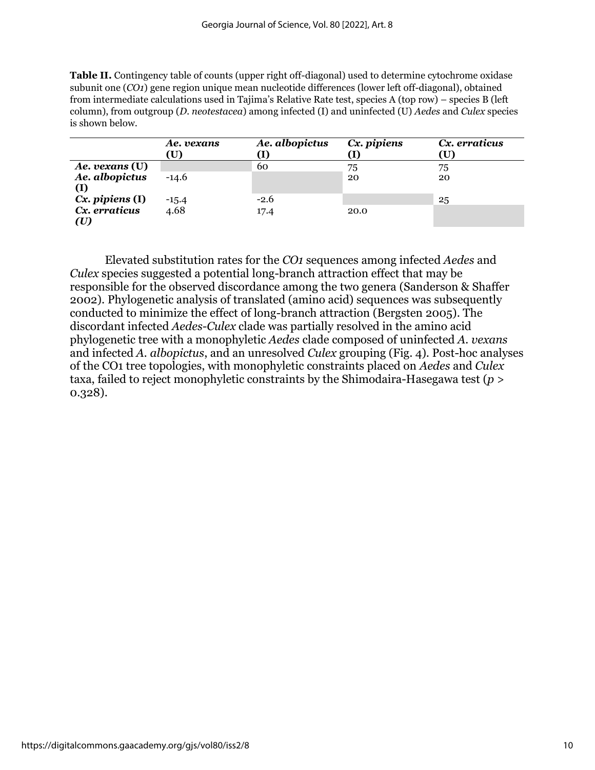**Table II.** Contingency table of counts (upper right off-diagonal) used to determine cytochrome oxidase subunit one (*CO1*) gene region unique mean nucleotide differences (lower left off-diagonal), obtained from intermediate calculations used in Tajima's Relative Rate test, species A (top row) – species B (left column), from outgroup (*D. neotestacea*) among infected (I) and uninfected (U) *Aedes* and *Culex* species is shown below.

|                       | Ae. vexans<br>(U | Ae. albopictus | Cx. pipiens | Cx. erraticus<br>U) |
|-----------------------|------------------|----------------|-------------|---------------------|
| Ae. vexans (U)        |                  | 60             | 75          | 75                  |
| Ae. albopictus<br>(I) | $-14.6$          |                | 20          | 20                  |
| $Cx.$ pipiens $(I)$   | $-15.4$          | $-2.6$         |             | 25                  |
| Cx. erraticus<br>(U)  | 4.68             | 17.4           | 20.0        |                     |

Elevated substitution rates for the *CO1* sequences among infected *Aedes* and *Culex* species suggested a potential long-branch attraction effect that may be responsible for the observed discordance among the two genera (Sanderson & Shaffer 2002). Phylogenetic analysis of translated (amino acid) sequences was subsequently conducted to minimize the effect of long-branch attraction (Bergsten 2005). The discordant infected *Aedes-Culex* clade was partially resolved in the amino acid phylogenetic tree with a monophyletic *Aedes* clade composed of uninfected *A. vexans* and infected *A. albopictus*, and an unresolved *Culex* grouping (Fig. 4). Post-hoc analyses of the CO1 tree topologies, with monophyletic constraints placed on *Aedes* and *Culex* taxa, failed to reject monophyletic constraints by the Shimodaira-Hasegawa test (*p* > 0.328).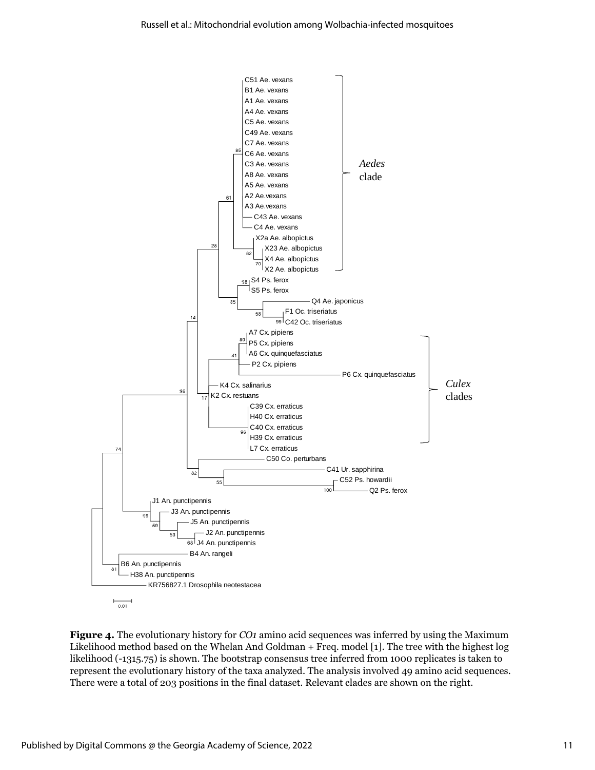

**Figure 4.** The evolutionary history for *CO1* amino acid sequences was inferred by using the Maximum Likelihood method based on the Whelan And Goldman + Freq. model [1]. The tree with the highest log likelihood (-1315.75) is shown. The bootstrap consensus tree inferred from 1000 replicates is taken to represent the evolutionary history of the taxa analyzed. The analysis involved 49 amino acid sequences. There were a total of 203 positions in the final dataset. Relevant clades are shown on the right.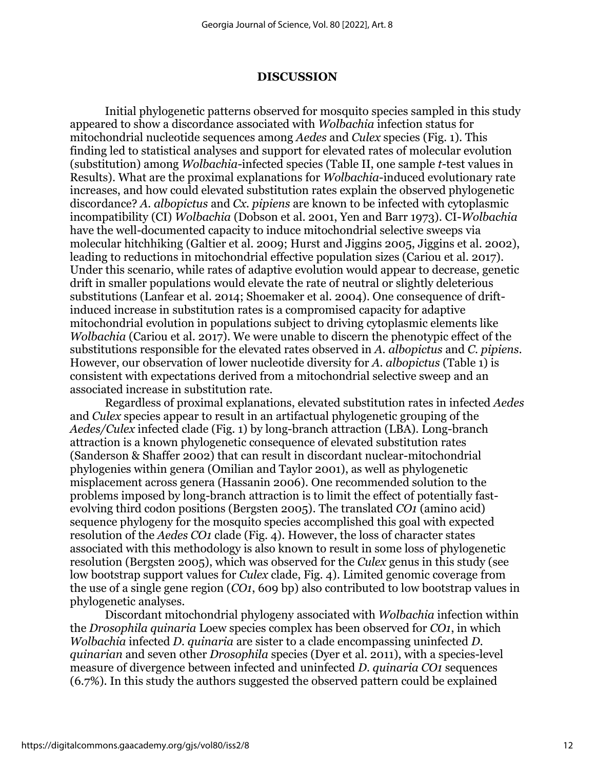#### **DISCUSSION**

Initial phylogenetic patterns observed for mosquito species sampled in this study appeared to show a discordance associated with *Wolbachia* infection status for mitochondrial nucleotide sequences among *Aedes* and *Culex* species (Fig. 1). This finding led to statistical analyses and support for elevated rates of molecular evolution (substitution) among *Wolbachia*-infected species (Table II, one sample *t*-test values in Results). What are the proximal explanations for *Wolbachia*-induced evolutionary rate increases, and how could elevated substitution rates explain the observed phylogenetic discordance? *A. albopictus* and *Cx. pipiens* are known to be infected with cytoplasmic incompatibility (CI) *Wolbachia* (Dobson et al. 2001, Yen and Barr 1973). CI-*Wolbachia* have the well-documented capacity to induce mitochondrial selective sweeps via molecular hitchhiking (Galtier et al. 2009; Hurst and Jiggins 2005, Jiggins et al. 2002), leading to reductions in mitochondrial effective population sizes (Cariou et al. 2017). Under this scenario, while rates of adaptive evolution would appear to decrease, genetic drift in smaller populations would elevate the rate of neutral or slightly deleterious substitutions (Lanfear et al. 2014; Shoemaker et al. 2004). One consequence of driftinduced increase in substitution rates is a compromised capacity for adaptive mitochondrial evolution in populations subject to driving cytoplasmic elements like *Wolbachia* (Cariou et al. 2017). We were unable to discern the phenotypic effect of the substitutions responsible for the elevated rates observed in *A. albopictus* and *C. pipiens*. However, our observation of lower nucleotide diversity for *A. albopictus* (Table 1) is consistent with expectations derived from a mitochondrial selective sweep and an associated increase in substitution rate.

Regardless of proximal explanations, elevated substitution rates in infected *Aedes* and *Culex* species appear to result in an artifactual phylogenetic grouping of the *Aedes/Culex* infected clade (Fig. 1) by long-branch attraction (LBA). Long-branch attraction is a known phylogenetic consequence of elevated substitution rates (Sanderson & Shaffer 2002) that can result in discordant nuclear-mitochondrial phylogenies within genera (Omilian and Taylor 2001), as well as phylogenetic misplacement across genera (Hassanin 2006). One recommended solution to the problems imposed by long-branch attraction is to limit the effect of potentially fastevolving third codon positions (Bergsten 2005). The translated *CO1* (amino acid) sequence phylogeny for the mosquito species accomplished this goal with expected resolution of the *Aedes CO1* clade (Fig. 4). However, the loss of character states associated with this methodology is also known to result in some loss of phylogenetic resolution (Bergsten 2005), which was observed for the *Culex* genus in this study (see low bootstrap support values for *Culex* clade, Fig. 4). Limited genomic coverage from the use of a single gene region (*CO1*, 609 bp) also contributed to low bootstrap values in phylogenetic analyses.

Discordant mitochondrial phylogeny associated with *Wolbachia* infection within the *Drosophila quinaria* Loew species complex has been observed for *CO1*, in which *Wolbachia* infected *D. quinaria* are sister to a clade encompassing uninfected *D. quinarian* and seven other *Drosophila* species (Dyer et al. 2011), with a species-level measure of divergence between infected and uninfected *D. quinaria CO1* sequences (6.7%). In this study the authors suggested the observed pattern could be explained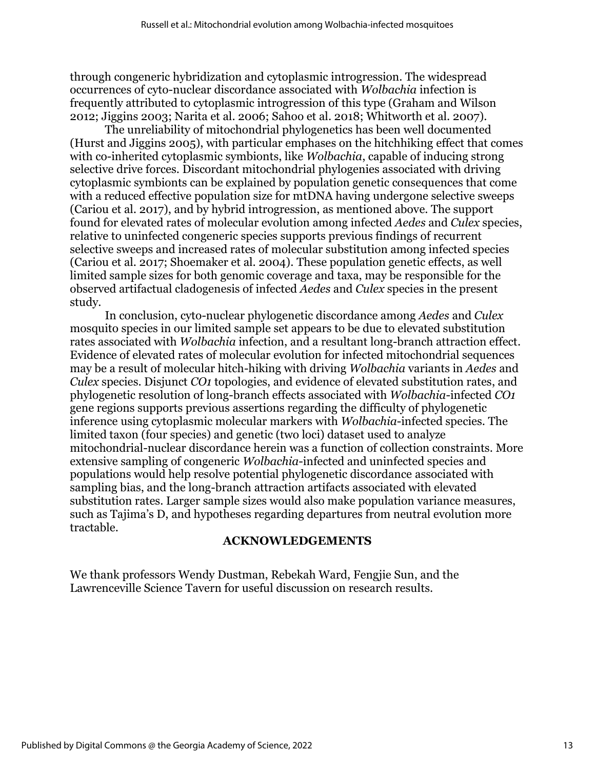through congeneric hybridization and cytoplasmic introgression. The widespread occurrences of cyto-nuclear discordance associated with *Wolbachia* infection is frequently attributed to cytoplasmic introgression of this type (Graham and Wilson 2012; Jiggins 2003; Narita et al. 2006; Sahoo et al. 2018; Whitworth et al. 2007).

The unreliability of mitochondrial phylogenetics has been well documented (Hurst and Jiggins 2005), with particular emphases on the hitchhiking effect that comes with co-inherited cytoplasmic symbionts, like *Wolbachia*, capable of inducing strong selective drive forces. Discordant mitochondrial phylogenies associated with driving cytoplasmic symbionts can be explained by population genetic consequences that come with a reduced effective population size for mtDNA having undergone selective sweeps (Cariou et al*.* 2017), and by hybrid introgression, as mentioned above. The support found for elevated rates of molecular evolution among infected *Aedes* and *Culex* species, relative to uninfected congeneric species supports previous findings of recurrent selective sweeps and increased rates of molecular substitution among infected species (Cariou et al. 2017; Shoemaker et al. 2004). These population genetic effects, as well limited sample sizes for both genomic coverage and taxa, may be responsible for the observed artifactual cladogenesis of infected *Aedes* and *Culex* species in the present study.

In conclusion, cyto-nuclear phylogenetic discordance among *Aedes* and *Culex* mosquito species in our limited sample set appears to be due to elevated substitution rates associated with *Wolbachia* infection, and a resultant long-branch attraction effect. Evidence of elevated rates of molecular evolution for infected mitochondrial sequences may be a result of molecular hitch-hiking with driving *Wolbachia* variants in *Aedes* and *Culex* species. Disjunct *CO1* topologies, and evidence of elevated substitution rates, and phylogenetic resolution of long-branch effects associated with *Wolbachia*-infected *CO1*  gene regions supports previous assertions regarding the difficulty of phylogenetic inference using cytoplasmic molecular markers with *Wolbachia*-infected species. The limited taxon (four species) and genetic (two loci) dataset used to analyze mitochondrial-nuclear discordance herein was a function of collection constraints. More extensive sampling of congeneric *Wolbachia*-infected and uninfected species and populations would help resolve potential phylogenetic discordance associated with sampling bias, and the long-branch attraction artifacts associated with elevated substitution rates. Larger sample sizes would also make population variance measures, such as Tajima's D, and hypotheses regarding departures from neutral evolution more tractable.

### **ACKNOWLEDGEMENTS**

We thank professors Wendy Dustman, Rebekah Ward, Fengjie Sun, and the Lawrenceville Science Tavern for useful discussion on research results.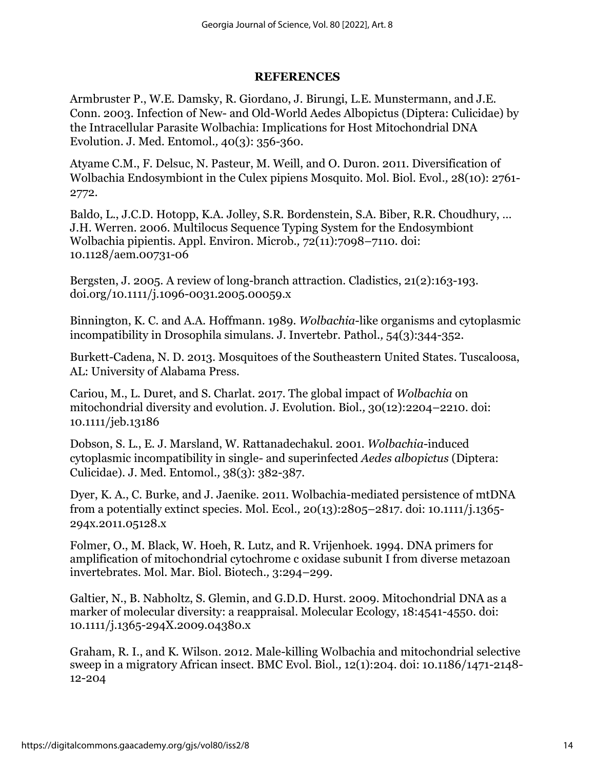### **REFERENCES**

Armbruster P., W.E. Damsky, R. Giordano, J. Birungi, L.E. Munstermann, and J.E. Conn. 2003. Infection of New- and Old-World Aedes Albopictus (Diptera: Culicidae) by the Intracellular Parasite Wolbachia: Implications for Host Mitochondrial DNA Evolution. J. Med. Entomol*.,* 40(3): 356-360.

Atyame C.M., F. Delsuc, N. Pasteur, M. Weill, and O. Duron. 2011. Diversification of Wolbachia Endosymbiont in the Culex pipiens Mosquito. Mol. Biol. Evol*.,* 28(10): 2761- 2772.

Baldo, L., J.C.D. Hotopp, K.A. Jolley, S.R. Bordenstein, S.A. Biber, R.R. Choudhury, … J.H. Werren. 2006. Multilocus Sequence Typing System for the Endosymbiont Wolbachia pipientis. Appl. Environ. Microb*.,* 72(11):7098–7110. doi: 10.1128/aem.00731-06

Bergsten, J. 2005. A review of long-branch attraction. Cladistics, 21(2):163-193. doi.org/10.1111/j.1096-0031.2005.00059.x

Binnington, K. C. and A.A. Hoffmann. 1989. *Wolbachia*-like organisms and cytoplasmic incompatibility in Drosophila simulans. J. Invertebr. Pathol*.,* 54(3):344-352.

Burkett-Cadena, N. D. 2013. Mosquitoes of the Southeastern United States. Tuscaloosa, AL: University of Alabama Press.

Cariou, M., L. Duret, and S. Charlat. 2017. The global impact of *Wolbachia* on mitochondrial diversity and evolution. J. Evolution. Biol*.,* 30(12):2204–2210. doi: 10.1111/jeb.13186

Dobson, S. L., E. J. Marsland, W. Rattanadechakul. 2001. *Wolbachia*-induced cytoplasmic incompatibility in single- and superinfected *Aedes albopictus* (Diptera: Culicidae). J. Med. Entomol*.,* 38(3): 382-387.

Dyer, K. A., C. Burke, and J. Jaenike. 2011. Wolbachia-mediated persistence of mtDNA from a potentially extinct species. Mol. Ecol*.,* 20(13):2805–2817. doi: 10.1111/j.1365- 294x.2011.05128.x

Folmer, O., M. Black, W. Hoeh, R. Lutz, and R. Vrijenhoek. 1994. DNA primers for amplification of mitochondrial cytochrome c oxidase subunit I from diverse metazoan invertebrates. Mol. Mar. Biol. Biotech*.,* 3:294–299.

Galtier, N., B. Nabholtz, S. Glemin, and G.D.D. Hurst. 2009. Mitochondrial DNA as a marker of molecular diversity: a reappraisal. Molecular Ecology, 18:4541-4550. doi: 10.1111/j.1365-294X.2009.04380.x

Graham, R. I., and K. Wilson. 2012. Male-killing Wolbachia and mitochondrial selective sweep in a migratory African insect. BMC Evol. Biol*.,* 12(1):204. doi: 10.1186/1471-2148- 12-204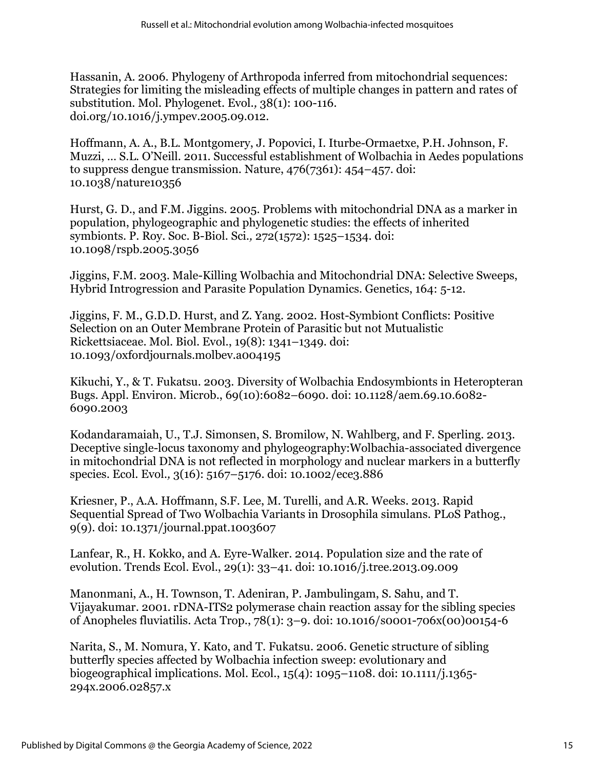Hassanin, A. 2006. Phylogeny of Arthropoda inferred from mitochondrial sequences: Strategies for limiting the misleading effects of multiple changes in pattern and rates of substitution. Mol. Phylogenet. Evol*.,* 38(1): 100-116. doi.org/10.1016/j.ympev.2005.09.012.

Hoffmann, A. A., B.L. Montgomery, J. Popovici, I. Iturbe-Ormaetxe, P.H. Johnson, F. Muzzi, … S.L. O'Neill. 2011. Successful establishment of Wolbachia in Aedes populations to suppress dengue transmission. Nature, 476(7361): 454–457. doi: 10.1038/nature10356

Hurst, G. D., and F.M. Jiggins. 2005. Problems with mitochondrial DNA as a marker in population, phylogeographic and phylogenetic studies: the effects of inherited symbionts. P. Roy. Soc. B-Biol. Sci*.,* 272(1572): 1525–1534. doi: 10.1098/rspb.2005.3056

Jiggins, F.M. 2003. Male-Killing Wolbachia and Mitochondrial DNA: Selective Sweeps, Hybrid Introgression and Parasite Population Dynamics. Genetics, 164: 5-12.

Jiggins, F. M., G.D.D. Hurst, and Z. Yang. 2002. Host-Symbiont Conflicts: Positive Selection on an Outer Membrane Protein of Parasitic but not Mutualistic Rickettsiaceae. Mol. Biol. Evol., 19(8): 1341–1349. doi: 10.1093/oxfordjournals.molbev.a004195

Kikuchi, Y., & T. Fukatsu. 2003. Diversity of Wolbachia Endosymbionts in Heteropteran Bugs. Appl. Environ. Microb., 69(10):6082–6090. doi: 10.1128/aem.69.10.6082- 6090.2003

Kodandaramaiah, U., T.J. Simonsen, S. Bromilow, N. Wahlberg, and F. Sperling. 2013. Deceptive single-locus taxonomy and phylogeography:Wolbachia-associated divergence in mitochondrial DNA is not reflected in morphology and nuclear markers in a butterfly species. Ecol. Evol*.,* 3(16): 5167–5176. doi: 10.1002/ece3.886

Kriesner, P., A.A. Hoffmann, S.F. Lee, M. Turelli, and A.R. Weeks. 2013. Rapid Sequential Spread of Two Wolbachia Variants in Drosophila simulans. PLoS Pathog., 9(9). doi: 10.1371/journal.ppat.1003607

Lanfear, R., H. Kokko, and A. Eyre-Walker. 2014. Population size and the rate of evolution. Trends Ecol. Evol., 29(1): 33–41. doi: 10.1016/j.tree.2013.09.009

Manonmani, A., H. Townson, T. Adeniran, P. Jambulingam, S. Sahu, and T. Vijayakumar. 2001. rDNA-ITS2 polymerase chain reaction assay for the sibling species of Anopheles fluviatilis. Acta Trop., 78(1): 3–9. doi: 10.1016/s0001-706x(00)00154-6

Narita, S., M. Nomura, Y. Kato, and T. Fukatsu. 2006. Genetic structure of sibling butterfly species affected by Wolbachia infection sweep: evolutionary and biogeographical implications. Mol. Ecol., 15(4): 1095–1108. doi: 10.1111/j.1365- 294x.2006.02857.x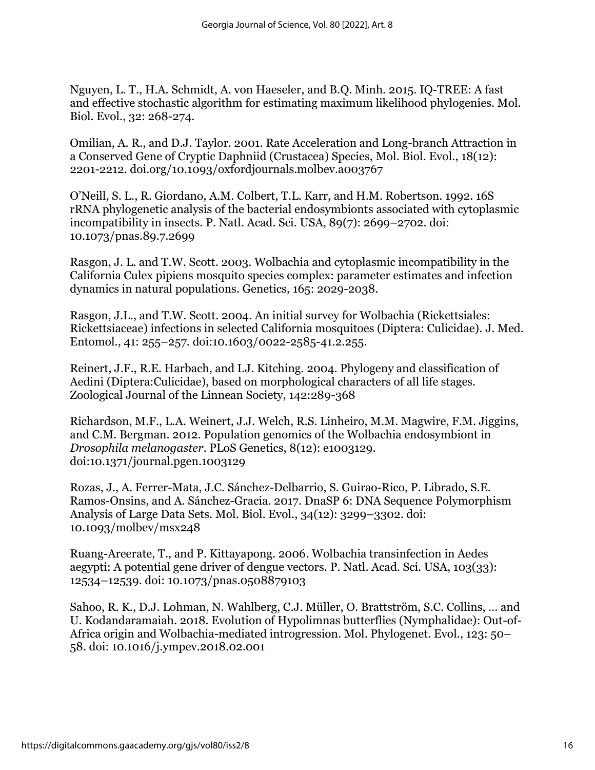Nguyen, L. T., H.A. Schmidt, A. von Haeseler, and B.Q. Minh. 2015. IQ-TREE: A fast and effective stochastic algorithm for estimating maximum likelihood phylogenies. Mol. Biol. Evol., 32: 268-274.

Omilian, A. R., and D.J. Taylor. 2001. Rate Acceleration and Long-branch Attraction in a Conserved Gene of Cryptic Daphniid (Crustacea) Species, Mol. Biol. Evol., 18(12): 2201-2212. [doi.org/10.1093/oxfordjournals.molbev.a003767](https://doi.org/10.1093/oxfordjournals.molbev.a003767)

O'Neill, S. L., R. Giordano, A.M. Colbert, T.L. Karr, and H.M. Robertson. 1992. 16S rRNA phylogenetic analysis of the bacterial endosymbionts associated with cytoplasmic incompatibility in insects. P. Natl. Acad. Sci. USA, 89(7): 2699–2702. doi: 10.1073/pnas.89.7.2699

Rasgon, J. L. and T.W. Scott. 2003. Wolbachia and cytoplasmic incompatibility in the California Culex pipiens mosquito species complex: parameter estimates and infection dynamics in natural populations. Genetics*,* 165: 2029-2038.

Rasgon, J.L., and T.W. Scott. 2004. An initial survey for Wolbachia (Rickettsiales: Rickettsiaceae) infections in selected California mosquitoes (Diptera: Culicidae). J. Med. Entomol., 41: 255–257. doi:10.1603/0022-2585-41.2.255.

Reinert, J.F., R.E. Harbach, and I.J. Kitching. 2004. Phylogeny and classification of Aedini (Diptera:Culicidae), based on morphological characters of all life stages. Zoological Journal of the Linnean Society, 142:289-368

Richardson, M.F., L.A. Weinert, J.J. Welch, R.S. Linheiro, M.M. Magwire, F.M. Jiggins, and C.M. Bergman. 2012. Population genomics of the Wolbachia endosymbiont in *Drosophila melanogaster*. PLoS Genetics, 8(12): e1003129. doi:10.1371/journal.pgen.1003129

Rozas, J., A. Ferrer-Mata, J.C. Sánchez-Delbarrio, S. Guirao-Rico, P. Librado, S.E. Ramos-Onsins, and A. Sánchez-Gracia. 2017. DnaSP 6: DNA Sequence Polymorphism Analysis of Large Data Sets. Mol. Biol. Evol., 34(12): 3299–3302. doi: 10.1093/molbev/msx248

Ruang-Areerate, T., and P. Kittayapong. 2006. Wolbachia transinfection in Aedes aegypti: A potential gene driver of dengue vectors. P. Natl. Acad. Sci. USA, 103(33): 12534–12539. doi: 10.1073/pnas.0508879103

Sahoo, R. K., D.J. Lohman, N. Wahlberg, C.J. Müller, O. Brattström, S.C. Collins, … and U. Kodandaramaiah. 2018. Evolution of Hypolimnas butterflies (Nymphalidae): Out-of-Africa origin and Wolbachia-mediated introgression. Mol. Phylogenet. Evol., 123: 50– 58. doi: 10.1016/j.ympev.2018.02.001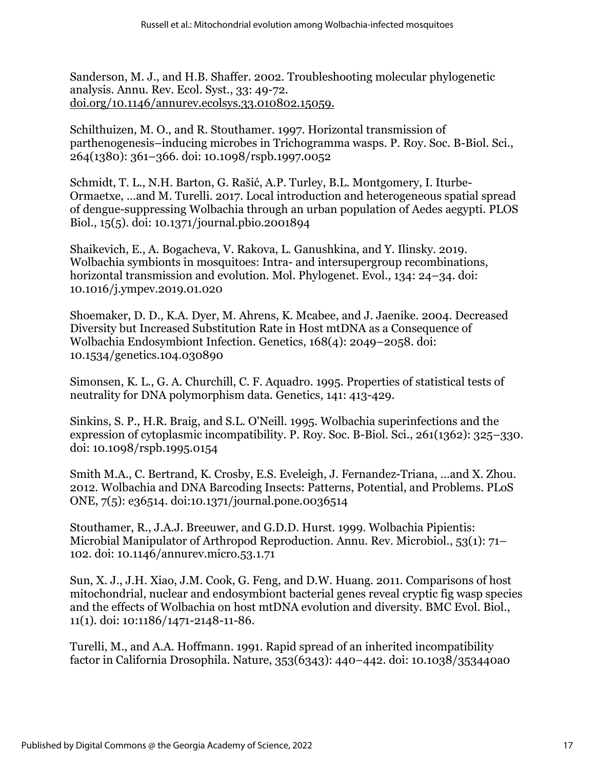Sanderson, M. J., and H.B. Shaffer. 2002. Troubleshooting molecular phylogenetic analysis. Annu. Rev. Ecol. Syst., 33: 49-72. [doi.org/10.1146/annurev.ecolsys.33.010802.15059.](https://doi.org/10.1146/annurev.ecolsys.33.010802.15059.)

Schilthuizen, M. O., and R. Stouthamer. 1997. Horizontal transmission of parthenogenesis–inducing microbes in Trichogramma wasps. P. Roy. Soc. B-Biol. Sci., 264(1380): 361–366. doi: 10.1098/rspb.1997.0052

Schmidt, T. L., N.H. Barton, G. Rašić, A.P. Turley, B.L. Montgomery, I. Iturbe-Ormaetxe, …and M. Turelli. 2017. Local introduction and heterogeneous spatial spread of dengue-suppressing Wolbachia through an urban population of Aedes aegypti. PLOS Biol., 15(5). doi: 10.1371/journal.pbio.2001894

Shaikevich, E., A. Bogacheva, V. Rakova, L. Ganushkina, and Y. Ilinsky. 2019. Wolbachia symbionts in mosquitoes: Intra- and intersupergroup recombinations, horizontal transmission and evolution. Mol. Phylogenet. Evol., 134: 24–34. doi: 10.1016/j.ympev.2019.01.020

Shoemaker, D. D., K.A. Dyer, M. Ahrens, K. Mcabee, and J. Jaenike. 2004. Decreased Diversity but Increased Substitution Rate in Host mtDNA as a Consequence of Wolbachia Endosymbiont Infection. Genetics, 168(4): 2049–2058. doi: 10.1534/genetics.104.030890

Simonsen, K. L., G. A. Churchill, C. F. Aquadro. 1995. Properties of statistical tests of neutrality for DNA polymorphism data. Genetics, 141: 413-429.

Sinkins, S. P., H.R. Braig, and S.L. O'Neill. 1995. Wolbachia superinfections and the expression of cytoplasmic incompatibility. P. Roy. Soc. B-Biol. Sci., 261(1362): 325–330. doi: 10.1098/rspb.1995.0154

Smith M.A., C. Bertrand, K. Crosby, E.S. Eveleigh, J. Fernandez-Triana, …and X. Zhou. 2012. Wolbachia and DNA Barcoding Insects: Patterns, Potential, and Problems. PLoS ONE, 7(5): e36514. doi:10.1371/journal.pone.0036514

Stouthamer, R., J.A.J. Breeuwer, and G.D.D. Hurst. 1999. Wolbachia Pipientis: Microbial Manipulator of Arthropod Reproduction. Annu. Rev. Microbiol., 53(1): 71– 102. doi: 10.1146/annurev.micro.53.1.71

Sun, X. J., J.H. Xiao, J.M. Cook, G. Feng, and D.W. Huang. 2011. Comparisons of host mitochondrial, nuclear and endosymbiont bacterial genes reveal cryptic fig wasp species and the effects of Wolbachia on host mtDNA evolution and diversity. BMC Evol. Biol., 11(1). doi: 10:1186/1471-2148-11-86.

Turelli, M., and A.A. Hoffmann. 1991. Rapid spread of an inherited incompatibility factor in California Drosophila. Nature, 353(6343): 440–442. doi: 10.1038/353440a0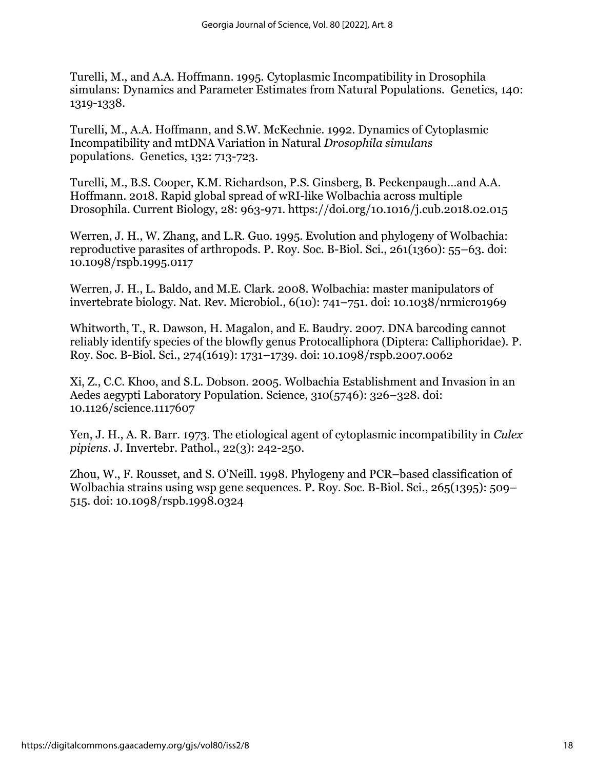Turelli, M., and A.A. Hoffmann. 1995. Cytoplasmic Incompatibility in Drosophila simulans: Dynamics and Parameter Estimates from Natural Populations. Genetics, 140: 1319-1338.

Turelli, M., A.A. Hoffmann, and S.W. McKechnie. 1992. Dynamics of Cytoplasmic Incompatibility and mtDNA Variation in Natural *Drosophila simulans*  populations. Genetics, 132: 713-723.

Turelli, M., B.S. Cooper, K.M. Richardson, P.S. Ginsberg, B. Peckenpaugh…and A.A. Hoffmann. 2018. Rapid global spread of wRI-like Wolbachia across multiple Drosophila. Current Biology, 28: 963-971. https://doi.org/10.1016/j.cub.2018.02.015

Werren, J. H., W. Zhang, and L.R. Guo. 1995. Evolution and phylogeny of Wolbachia: reproductive parasites of arthropods. P. Roy. Soc. B-Biol. Sci., 261(1360): 55–63. doi: 10.1098/rspb.1995.0117

Werren, J. H., L. Baldo, and M.E. Clark. 2008. Wolbachia: master manipulators of invertebrate biology. Nat. Rev. Microbiol., 6(10): 741–751. doi: 10.1038/nrmicro1969

Whitworth, T., R. Dawson, H. Magalon, and E. Baudry. 2007. DNA barcoding cannot reliably identify species of the blowfly genus Protocalliphora (Diptera: Calliphoridae). P. Roy. Soc. B-Biol. Sci., 274(1619): 1731–1739. doi: 10.1098/rspb.2007.0062

Xi, Z., C.C. Khoo, and S.L. Dobson. 2005. Wolbachia Establishment and Invasion in an Aedes aegypti Laboratory Population. Science, 310(5746): 326–328. doi: 10.1126/science.1117607

Yen, J. H., A. R. Barr. 1973. The etiological agent of cytoplasmic incompatibility in *Culex pipiens*. J. Invertebr. Pathol., 22(3): 242-250.

Zhou, W., F. Rousset, and S. O'Neill. 1998. Phylogeny and PCR–based classification of Wolbachia strains using wsp gene sequences. P. Roy. Soc. B-Biol. Sci., 265(1395): 509– 515. doi: 10.1098/rspb.1998.0324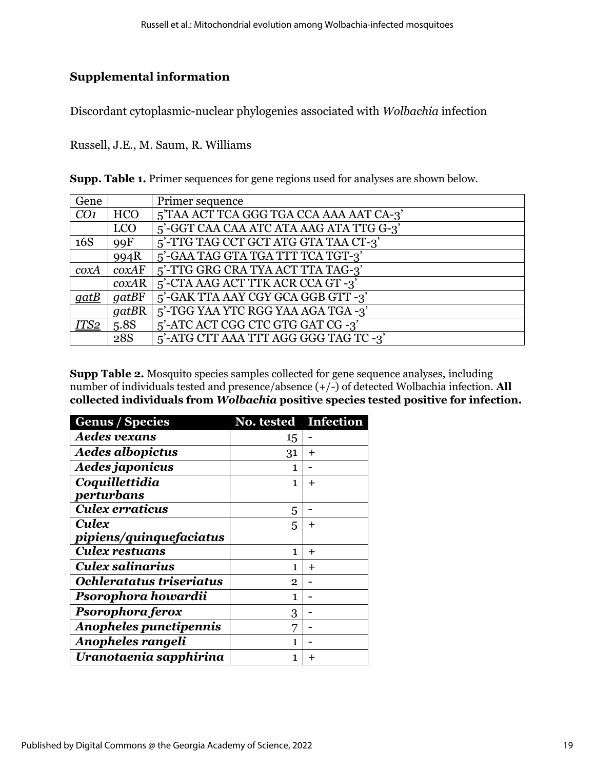# **Supplemental information**

Discordant cytoplasmic-nuclear phylogenies associated with *Wolbachia* infection

Russell, J.E., M. Saum, R. Williams

| <b>Supp. Table 1.</b> Primer sequences for gene regions used for analyses are shown below. |  |  |  |  |  |
|--------------------------------------------------------------------------------------------|--|--|--|--|--|
|--------------------------------------------------------------------------------------------|--|--|--|--|--|

| Gene            |            | Primer sequence                         |
|-----------------|------------|-----------------------------------------|
| CO <sub>1</sub> | <b>HCO</b> | 5'TAA ACT TCA GGG TGA CCA AAA AAT CA-3' |
|                 | <b>LCO</b> | 5'-GGT CAA CAA ATC ATA AAG ATA TTG G-3' |
| 16S             | 99F        | 5'-TTG TAG CCT GCT ATG GTA TAA CT-3'    |
|                 | 994R       | 5'-GAA TAG GTA TGA TTT TCA TGT-3'       |
| coxA            | coxAF      | 5'-TTG GRG CRA TYA ACT TTA TAG-3'       |
|                 | coxAR      | 5'-CTA AAG ACT TTK ACR CCA GT -3'       |
| $q$ at $B$      | gatBF      | 5'-GAK TTA AAY CGY GCA GGB GTT -3'      |
|                 | gatBR      | 5'-TGG YAA YTC RGG YAA AGA TGA -3'      |
| ITS2            | 5.8S       | 5'-ATC ACT CGG CTC GTG GAT CG -3'       |
|                 | 28S        | 5'-ATG CTT AAA TTT AGG GGG TAG TC -3'   |

**Supp Table 2.** Mosquito species samples collected for gene sequence analyses, including number of individuals tested and presence/absence (+/-) of detected Wolbachia infection. **All collected individuals from** *Wolbachia* **positive species tested positive for infection.** 

| <b>Genus / Species</b>   | No. tested Infection |          |
|--------------------------|----------------------|----------|
| <b>Aedes vexans</b>      | 15                   |          |
| <b>Aedes albopictus</b>  | 31                   | $\pm$    |
| Aedes japonicus          | 1                    |          |
| Coquillettidia           | 1                    | $^{+}$   |
| perturbans               |                      |          |
| Culex erraticus          | 5                    |          |
| Culex                    | 5                    | ┿        |
| pipiens/quinquefaciatus  |                      |          |
| <b>Culex restuans</b>    | 1                    | $\,{}^+$ |
| <b>Culex salinarius</b>  | 1                    | $\div$   |
| Ochleratatus triseriatus | $\overline{2}$       |          |
| Psorophora howardii      | 1                    |          |
| Psorophora ferox         | 3                    |          |
| Anopheles punctipennis   | 7                    |          |
| Anopheles rangeli        | 1                    |          |
| Uranotaenia sapphirina   | 1                    |          |